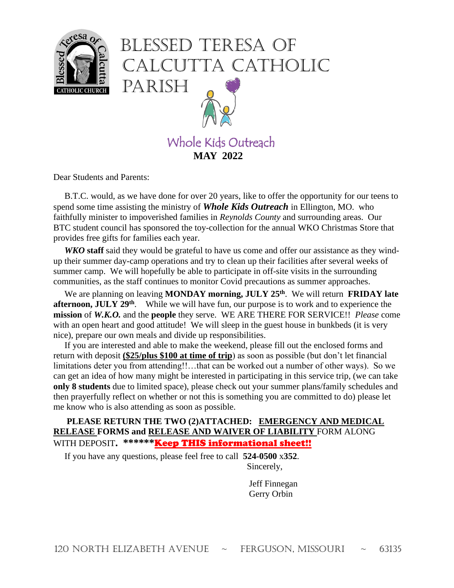

# Blessed Teresa of Calcutta Catholic Parish



Dear Students and Parents:

 B.T.C. would, as we have done for over 20 years, like to offer the opportunity for our teens to spend some time assisting the ministry of *Whole Kids Outreach* in Ellington, MO. who faithfully minister to impoverished families in *Reynolds County* and surrounding areas. Our BTC student council has sponsored the toy-collection for the annual WKO Christmas Store that provides free gifts for families each year.

 *WKO* **staff** said they would be grateful to have us come and offer our assistance as they windup their summer day-camp operations and try to clean up their facilities after several weeks of summer camp. We will hopefully be able to participate in off-site visits in the surrounding communities, as the staff continues to monitor Covid precautions as summer approaches.

We are planning on leaving **MONDAY** morning, JULY 25<sup>th</sup>. We will return **FRIDAY** late **afternoon, JULY 29<sup>th</sup>.** While we will have fun, our purpose is to work and to experience the **mission** of *W.K.O.* and the **people** they serve. WE ARE THERE FOR SERVICE!! *Please* come with an open heart and good attitude! We will sleep in the guest house in bunkbeds (it is very nice), prepare our own meals and divide up responsibilities.

 If you are interested and able to make the weekend, please fill out the enclosed forms and return with deposit **(\$25/plus \$100 at time of trip**) as soon as possible (but don't let financial limitations deter you from attending!!...that can be worked out a number of other ways). So we can get an idea of how many might be interested in participating in this service trip, (we can take **only 8 students** due to limited space), please check out your summer plans/family schedules and then prayerfully reflect on whether or not this is something you are committed to do) please let me know who is also attending as soon as possible.

#### **PLEASE RETURN THE TWO (2)ATTACHED: EMERGENCY AND MEDICAL RELEASE FORMS and RELEASE AND WAIVER OF LIABILITY** FORM ALONG WITH DEPOSIT**. \*\*\*\*\*\***Keep THIS informational sheet!!

If you have any questions, please feel free to call **524-0500** x**352**.

Sincerely,

 Jeff Finnegan Gerry Orbin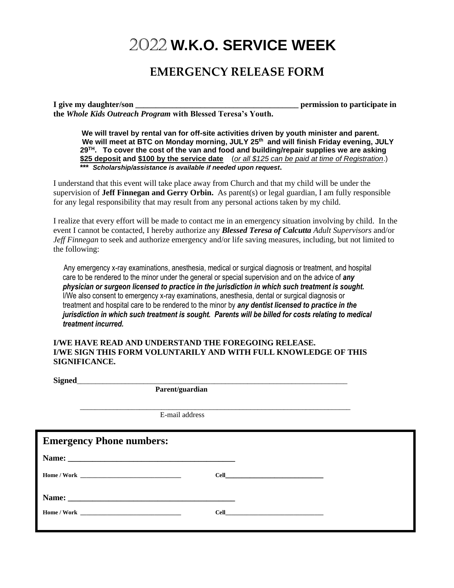## 2022 **W.K.O. SERVICE WEEK**

## **EMERGENCY RELEASE FORM**

**I give my daughter/son \_\_\_\_\_\_\_\_\_\_\_\_\_\_\_\_\_\_\_\_\_\_\_\_\_\_\_\_\_\_\_\_\_\_\_\_\_\_\_\_ permission to participate in the** *Whole Kids Outreach Program* **with Blessed Teresa's Youth.**

**We will travel by rental van for off-site activities driven by youth minister and parent. We will meet at BTC on Monday morning, JULY 25 th and will finish Friday evening, JULY 29 TH. To cover the cost of the van and food and building/repair supplies we are asking \$25 deposit and \$100 by the service date** (*or all \$125 can be paid at time of Registration*.) **\*\*\*** *Scholarship/assistance is available if needed upon request***.**

I understand that this event will take place away from Church and that my child will be under the supervision of **Jeff Finnegan and Gerry Orbin.** As parent(s) or legal guardian, I am fully responsible for any legal responsibility that may result from any personal actions taken by my child.

I realize that every effort will be made to contact me in an emergency situation involving by child. In the event I cannot be contacted, I hereby authorize any *Blessed Teresa of Calcutta Adult Supervisors* and/or *Jeff Finnegan* to seek and authorize emergency and/or life saving measures, including, but not limited to the following:

 Any emergency x-ray examinations, anesthesia, medical or surgical diagnosis or treatment, and hospital care to be rendered to the minor under the general or special supervision and on the advice of *any physician or surgeon licensed to practice in the jurisdiction in which such treatment is sought.*  I/We also consent to emergency x-ray examinations, anesthesia, dental or surgical diagnosis or treatment and hospital care to be rendered to the minor by *any dentist licensed to practice in the jurisdiction in which such treatment is sought. Parents will be billed for costs relating to medical treatment incurred.* 

#### **I/WE HAVE READ AND UNDERSTAND THE FOREGOING RELEASE. I/WE SIGN THIS FORM VOLUNTARILY AND WITH FULL KNOWLEDGE OF THIS SIGNIFICANCE.**

\_\_\_\_\_\_\_\_\_\_\_\_\_\_\_\_\_\_\_\_\_\_\_\_\_\_\_\_\_\_\_\_\_\_\_\_\_\_\_\_\_\_\_\_\_\_\_\_\_\_\_\_\_\_\_\_\_\_\_\_\_\_\_\_\_\_\_\_\_\_\_\_\_

**Signed**\_\_\_\_\_\_\_\_\_\_\_\_\_\_\_\_\_\_\_\_\_\_\_\_\_\_\_\_\_\_\_\_\_\_\_\_\_\_\_\_\_\_\_\_\_\_\_\_\_\_\_\_\_\_\_\_\_\_\_\_\_\_\_\_\_\_\_\_\_\_\_\_\_

 **Parent/guardian**

E-mail address

| Name:                                                                                                                                                                                                                               | <b>Emergency Phone numbers:</b> |  |
|-------------------------------------------------------------------------------------------------------------------------------------------------------------------------------------------------------------------------------------|---------------------------------|--|
|                                                                                                                                                                                                                                     |                                 |  |
|                                                                                                                                                                                                                                     |                                 |  |
| <b>Cell</b> contract the contract of the contract of the contract of the contract of the contract of the contract of the contract of the contract of the contract of the contract of the contract of the contract of the contract o |                                 |  |
|                                                                                                                                                                                                                                     |                                 |  |